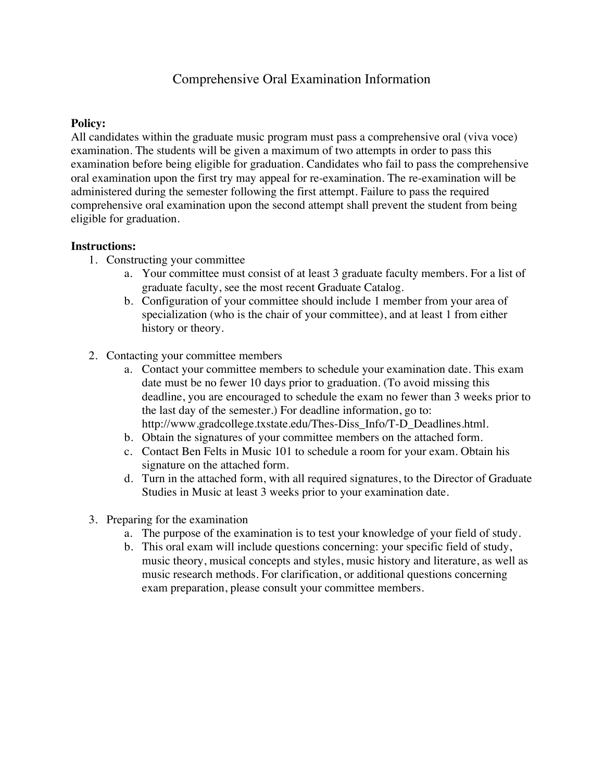# Comprehensive Oral Examination Information

### **Policy:**

All candidates within the graduate music program must pass a comprehensive oral (viva voce) examination. The students will be given a maximum of two attempts in order to pass this examination before being eligible for graduation. Candidates who fail to pass the comprehensive oral examination upon the first try may appeal for re-examination. The re-examination will be administered during the semester following the first attempt. Failure to pass the required comprehensive oral examination upon the second attempt shall prevent the student from being eligible for graduation.

#### **Instructions:**

- 1. Constructing your committee
	- a. Your committee must consist of at least 3 graduate faculty members. For a list of graduate faculty, see the most recent Graduate Catalog.
	- b. Configuration of your committee should include 1 member from your area of specialization (who is the chair of your committee), and at least 1 from either history or theory.
- 2. Contacting your committee members
	- a. Contact your committee members to schedule your examination date. This exam date must be no fewer 10 days prior to graduation. (To avoid missing this deadline, you are encouraged to schedule the exam no fewer than 3 weeks prior to the last day of the semester.) For deadline information, go to: http://www.gradcollege.txstate.edu/Thes-Diss\_Info/T-D\_Deadlines.html.
	- b. Obtain the signatures of your committee members on the attached form.
	- c. Contact Ben Felts in Music 101 to schedule a room for your exam. Obtain his signature on the attached form.
	- d. Turn in the attached form, with all required signatures, to the Director of Graduate Studies in Music at least 3 weeks prior to your examination date.
- 3. Preparing for the examination
	- a. The purpose of the examination is to test your knowledge of your field of study.
	- b. This oral exam will include questions concerning: your specific field of study, music theory, musical concepts and styles, music history and literature, as well as music research methods. For clarification, or additional questions concerning exam preparation, please consult your committee members.